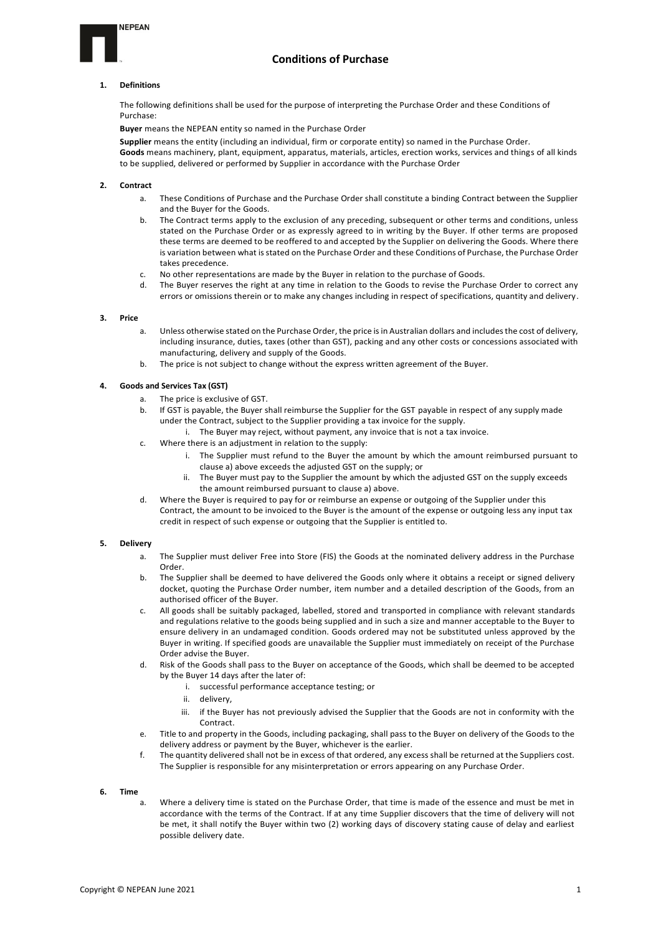## **Conditions of Purchase**

### **1. Definitions**

**NEPEAN** 

The following definitions shall be used for the purpose of interpreting the Purchase Order and these Conditions of Purchase:

**Buyer** means the NEPEAN entity so named in the Purchase Order

**Supplier** means the entity (including an individual, firm or corporate entity) so named in the Purchase Order. **Goods** means machinery, plant, equipment, apparatus, materials, articles, erection works, services and things of all kinds to be supplied, delivered or performed by Supplier in accordance with the Purchase Order

#### **2. Contract**

- These Conditions of Purchase and the Purchase Order shall constitute a binding Contract between the Supplier and the Buyer for the Goods.
- b. The Contract terms apply to the exclusion of any preceding, subsequent or other terms and conditions, unless stated on the Purchase Order or as expressly agreed to in writing by the Buyer. If other terms are proposed these terms are deemed to be reoffered to and accepted by the Supplier on delivering the Goods. Where there is variation between what is stated on the Purchase Order and these Conditions of Purchase, the Purchase Order takes precedence.
- c. No other representations are made by the Buyer in relation to the purchase of Goods.
- d. The Buyer reserves the right at any time in relation to the Goods to revise the Purchase Order to correct any errors or omissions therein or to make any changes including in respect of specifications, quantity and delivery.

#### **3. Price**

- a. Unless otherwise stated on the Purchase Order, the price is in Australian dollars and includes the cost of delivery, including insurance, duties, taxes (other than GST), packing and any other costs or concessions associated with manufacturing, delivery and supply of the Goods.
- b. The price is not subject to change without the express written agreement of the Buyer.

### **4. Goods and Services Tax (GST)**

- a. The price is exclusive of GST.
- b. If GST is payable, the Buyer shall reimburse the Supplier for the GST payable in respect of any supply made under the Contract, subject to the Supplier providing a tax invoice for the supply.
	- i. The Buyer may reject, without payment, any invoice that is not a tax invoice.
- c. Where there is an adjustment in relation to the supply:
	- i. The Supplier must refund to the Buyer the amount by which the amount reimbursed pursuant to clause a) above exceeds the adjusted GST on the supply; or
	- ii. The Buyer must pay to the Supplier the amount by which the adjusted GST on the supply exceeds the amount reimbursed pursuant to clause a) above.
- d. Where the Buyer is required to pay for or reimburse an expense or outgoing of the Supplier under this Contract, the amount to be invoiced to the Buyer is the amount of the expense or outgoing less any input tax credit in respect of such expense or outgoing that the Supplier is entitled to.

#### **5. Delivery**

- a. The Supplier must deliver Free into Store (FIS) the Goods at the nominated delivery address in the Purchase Order.
- b. The Supplier shall be deemed to have delivered the Goods only where it obtains a receipt or signed delivery docket, quoting the Purchase Order number, item number and a detailed description of the Goods, from an authorised officer of the Buyer.
- c. All goods shall be suitably packaged, labelled, stored and transported in compliance with relevant standards and regulations relative to the goods being supplied and in such a size and manner acceptable to the Buyer to ensure delivery in an undamaged condition. Goods ordered may not be substituted unless approved by the Buyer in writing. If specified goods are unavailable the Supplier must immediately on receipt of the Purchase Order advise the Buyer.
- d. Risk of the Goods shall pass to the Buyer on acceptance of the Goods, which shall be deemed to be accepted by the Buyer 14 days after the later of:
	- i. successful performance acceptance testing; or
	- ii. delivery,
	- iii. if the Buyer has not previously advised the Supplier that the Goods are not in conformity with the Contract.
- e. Title to and property in the Goods, including packaging, shall pass to the Buyer on delivery of the Goods to the delivery address or payment by the Buyer, whichever is the earlier.
- f. The quantity delivered shall not be in excess of that ordered, any excess shall be returned at the Suppliers cost. The Supplier is responsible for any misinterpretation or errors appearing on any Purchase Order.

#### **6. Time**

a. Where a delivery time is stated on the Purchase Order, that time is made of the essence and must be met in accordance with the terms of the Contract. If at any time Supplier discovers that the time of delivery will not be met, it shall notify the Buyer within two (2) working days of discovery stating cause of delay and earliest possible delivery date.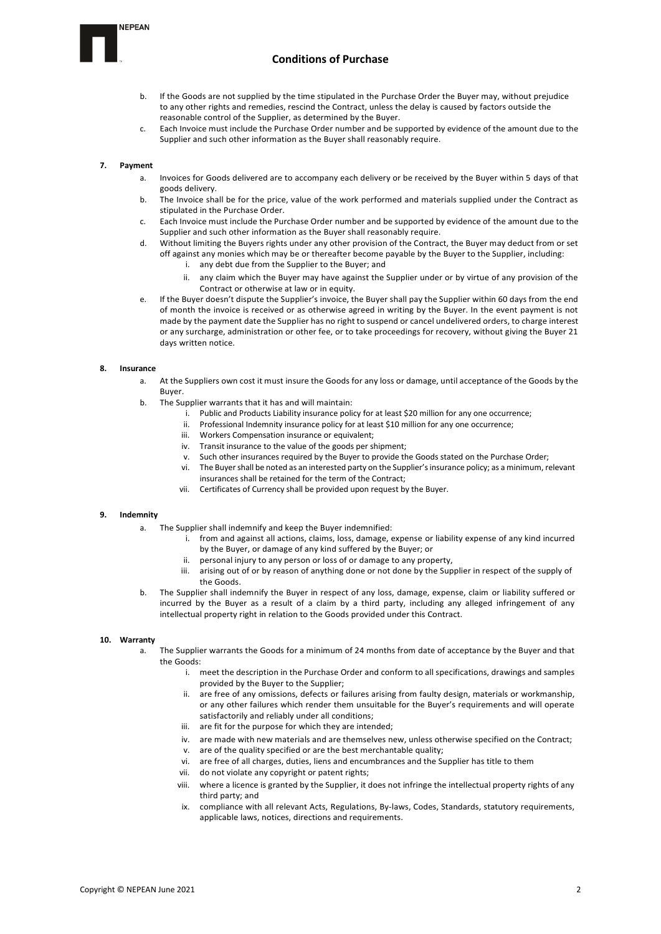### **NEPEAN**



- If the Goods are not supplied by the time stipulated in the Purchase Order the Buyer may, without prejudice to any other rights and remedies, rescind the Contract, unless the delay is caused by factors outside the reasonable control of the Supplier, as determined by the Buyer.
- c. Each Invoice must include the Purchase Order number and be supported by evidence of the amount due to the Supplier and such other information as the Buyer shall reasonably require.

## **7. Payment**

- a. Invoices for Goods delivered are to accompany each delivery or be received by the Buyer within 5 days of that goods delivery.
- b. The Invoice shall be for the price, value of the work performed and materials supplied under the Contract as stipulated in the Purchase Order.
- c. Each Invoice must include the Purchase Order number and be supported by evidence of the amount due to the Supplier and such other information as the Buyer shall reasonably require.
- d. Without limiting the Buyers rights under any other provision of the Contract, the Buyer may deduct from or set off against any monies which may be or thereafter become payable by the Buyer to the Supplier, including:
	- i. any debt due from the Supplier to the Buyer; and
	- ii. any claim which the Buyer may have against the Supplier under or by virtue of any provision of the Contract or otherwise at law or in equity.
- e. If the Buyer doesn't dispute the Supplier's invoice, the Buyer shall pay the Supplier within 60 days from the end of month the invoice is received or as otherwise agreed in writing by the Buyer. In the event payment is not made by the payment date the Supplier has no right to suspend or cancel undelivered orders, to charge interest or any surcharge, administration or other fee, or to take proceedings for recovery, without giving the Buyer 21 days written notice.

#### **8. Insurance**

- a. At the Suppliers own cost it must insure the Goods for any loss or damage, until acceptance of the Goods by the Buyer.
- b. The Supplier warrants that it has and will maintain:
	- i. Public and Products Liability insurance policy for at least \$20 million for any one occurrence;
	- ii. Professional Indemnity insurance policy for at least \$10 million for any one occurrence;
	- iii. Workers Compensation insurance or equivalent;
	- iv. Transit insurance to the value of the goods per shipment;
	- v. Such other insurances required by the Buyer to provide the Goods stated on the Purchase Order;
	- vi. The Buyer shall be noted as an interested party on the Supplier's insurance policy; as a minimum, relevant insurances shall be retained for the term of the Contract;
	- vii. Certificates of Currency shall be provided upon request by the Buyer.

#### **9. Indemnity**

- a. The Supplier shall indemnify and keep the Buyer indemnified:
	- i. from and against all actions, claims, loss, damage, expense or liability expense of any kind incurred by the Buyer, or damage of any kind suffered by the Buyer; or
		- ii. personal injury to any person or loss of or damage to any property,
	- iii. arising out of or by reason of anything done or not done by the Supplier in respect of the supply of the Goods.
- b. The Supplier shall indemnify the Buyer in respect of any loss, damage, expense, claim or liability suffered or incurred by the Buyer as a result of a claim by a third party, including any alleged infringement of any intellectual property right in relation to the Goods provided under this Contract.

## **10. Warranty**

- The Supplier warrants the Goods for a minimum of 24 months from date of acceptance by the Buyer and that the Goods:
	- i. meet the description in the Purchase Order and conform to all specifications, drawings and samples provided by the Buyer to the Supplier;
	- ii. are free of any omissions, defects or failures arising from faulty design, materials or workmanship, or any other failures which render them unsuitable for the Buyer's requirements and will operate satisfactorily and reliably under all conditions;
	- iii. are fit for the purpose for which they are intended;
	- iv. are made with new materials and are themselves new, unless otherwise specified on the Contract;
	- v. are of the quality specified or are the best merchantable quality;
	- vi. are free of all charges, duties, liens and encumbrances and the Supplier has title to them
	- vii. do not violate any copyright or patent rights;
	- viii. where a licence is granted by the Supplier, it does not infringe the intellectual property rights of any third party; and
	- ix. compliance with all relevant Acts, Regulations, By-laws, Codes, Standards, statutory requirements, applicable laws, notices, directions and requirements.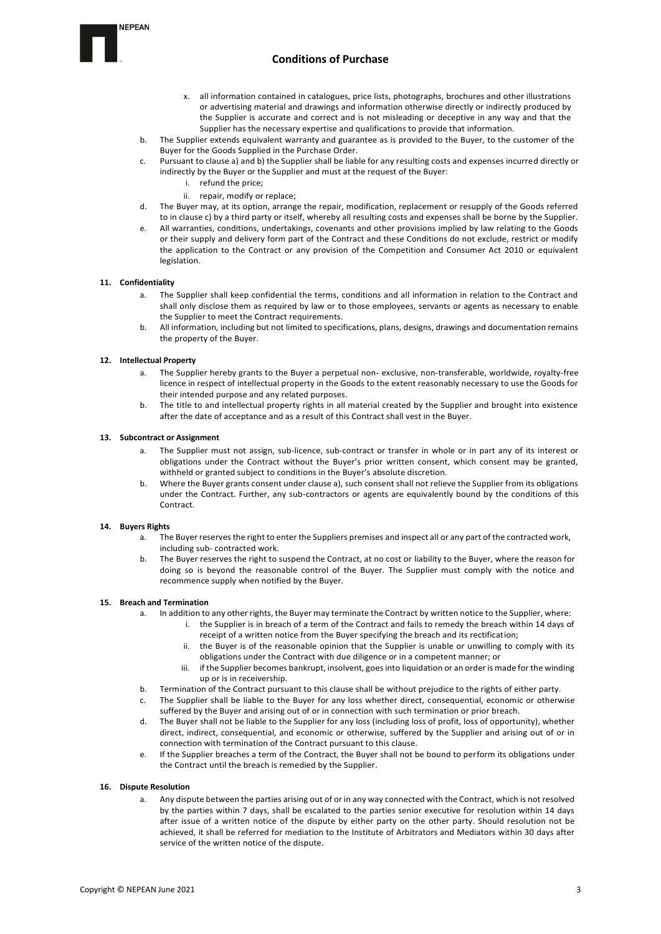# **Conditions of Purchase**

- x. all information contained in catalogues, price lists, photographs, brochures and other illustrations or advertising material and drawings and information otherwise directly or indirectly produced by the Supplier is accurate and correct and is not misleading or deceptive in any way and that the Supplier has the necessary expertise and qualifications to provide that information.
- b. The Supplier extends equivalent warranty and guarantee as is provided to the Buyer, to the customer of the Buyer for the Goods Supplied in the Purchase Order.
- c. Pursuant to clause a) and b) the Supplier shall be liable for any resulting costs and expenses incurred directly or indirectly by the Buyer or the Supplier and must at the request of the Buyer:
	- i. refund the price;
	- ii. repair, modify or replace;
- d. The Buyer may, at its option, arrange the repair, modification, replacement or resupply of the Goods referred to in clause c) by a third party or itself, whereby all resulting costs and expenses shall be borne by the Supplier.
- e. All warranties, conditions, undertakings, covenants and other provisions implied by law relating to the Goods or their supply and delivery form part of the Contract and these Conditions do not exclude, restrict or modify the application to the Contract or any provision of the Competition and Consumer Act 2010 or equivalent legislation.

#### **11. Confidentiality**

- a. The Supplier shall keep confidential the terms, conditions and all information in relation to the Contract and shall only disclose them as required by law or to those employees, servants or agents as necessary to enable the Supplier to meet the Contract requirements.
- b. All information, including but not limited to specifications, plans, designs, drawings and documentation remains the property of the Buyer.

## **12. Intellectual Property**

- The Supplier hereby grants to the Buyer a perpetual non- exclusive, non-transferable, worldwide, royalty-free licence in respect of intellectual property in the Goods to the extent reasonably necessary to use the Goods for their intended purpose and any related purposes.
- b. The title to and intellectual property rights in all material created by the Supplier and brought into existence after the date of acceptance and as a result of this Contract shall vest in the Buyer.

#### **13. Subcontract or Assignment**

- a. The Supplier must not assign, sub-licence, sub-contract or transfer in whole or in part any of its interest or obligations under the Contract without the Buyer's prior written consent, which consent may be granted, withheld or granted subject to conditions in the Buyer's absolute discretion.
- b. Where the Buyer grants consent under clause a), such consent shall not relieve the Supplier from its obligations under the Contract. Further, any sub-contractors or agents are equivalently bound by the conditions of this Contract.

#### **14. Buyers Rights**

- a. The Buyer reserves the right to enter the Suppliers premises and inspect all or any part of the contracted work, including sub- contracted work.
- b. The Buyer reserves the right to suspend the Contract, at no cost or liability to the Buyer, where the reason for doing so is beyond the reasonable control of the Buyer. The Supplier must comply with the notice and recommence supply when notified by the Buyer.

#### **15. Breach and Termination**

- a. In addition to any other rights, the Buyer may terminate the Contract by written notice to the Supplier, where:
	- i. the Supplier is in breach of a term of the Contract and fails to remedy the breach within 14 days of receipt of a written notice from the Buyer specifying the breach and its rectification;
	- ii. the Buyer is of the reasonable opinion that the Supplier is unable or unwilling to comply with its obligations under the Contract with due diligence or in a competent manner; or
	- iii. if the Supplier becomes bankrupt, insolvent, goes into liquidation or an order is made for the winding up or is in receivership.
- b. Termination of the Contract pursuant to this clause shall be without prejudice to the rights of either party.
- c. The Supplier shall be liable to the Buyer for any loss whether direct, consequential, economic or otherwise suffered by the Buyer and arising out of or in connection with such termination or prior breach.
- d. The Buyer shall not be liable to the Supplier for any loss (including loss of profit, loss of opportunity), whether direct, indirect, consequential, and economic or otherwise, suffered by the Supplier and arising out of or in connection with termination of the Contract pursuant to this clause.
- e. If the Supplier breaches a term of the Contract, the Buyer shall not be bound to perform its obligations under the Contract until the breach is remedied by the Supplier.

#### **16. Dispute Resolution**

Any dispute between the parties arising out of or in any way connected with the Contract, which is not resolved by the parties within 7 days, shall be escalated to the parties senior executive for resolution within 14 days after issue of a written notice of the dispute by either party on the other party. Should resolution not be achieved, it shall be referred for mediation to the Institute of Arbitrators and Mediators within 30 days after service of the written notice of the dispute.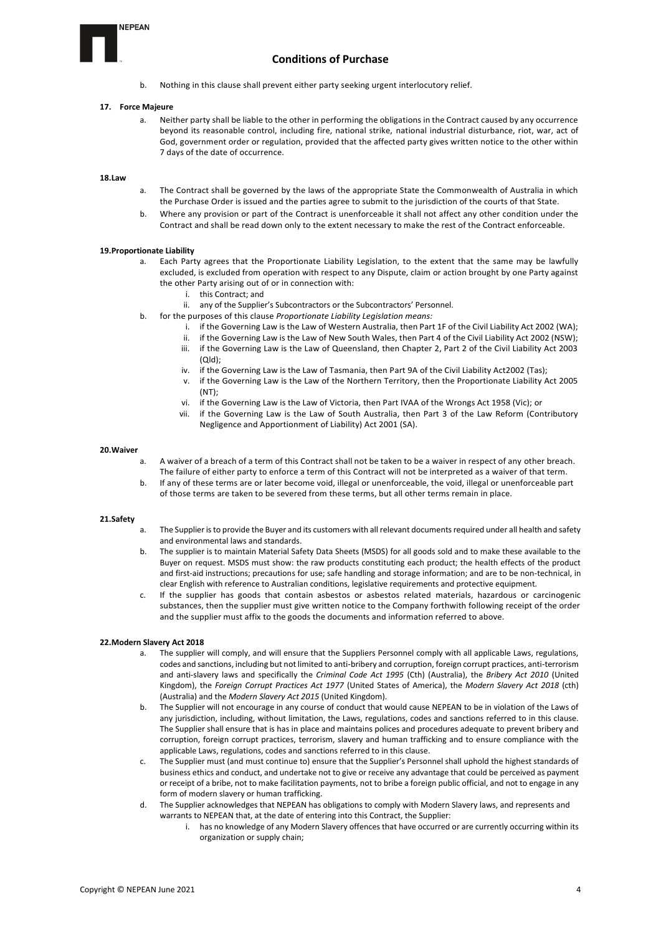# **NFPFAN**



b. Nothing in this clause shall prevent either party seeking urgent interlocutory relief.

#### **17. Force Majeure**

a. Neither party shall be liable to the other in performing the obligations in the Contract caused by any occurrence beyond its reasonable control, including fire, national strike, national industrial disturbance, riot, war, act of God, government order or regulation, provided that the affected party gives written notice to the other within 7 days of the date of occurrence.

#### **18.Law**

- a. The Contract shall be governed by the laws of the appropriate State the Commonwealth of Australia in which the Purchase Order is issued and the parties agree to submit to the jurisdiction of the courts of that State.
- b. Where any provision or part of the Contract is unenforceable it shall not affect any other condition under the Contract and shall be read down only to the extent necessary to make the rest of the Contract enforceable.

#### **19.Proportionate Liability**

- a. Each Party agrees that the Proportionate Liability Legislation, to the extent that the same may be lawfully excluded, is excluded from operation with respect to any Dispute, claim or action brought by one Party against the other Party arising out of or in connection with:
	- i. this Contract; and
	- ii. any of the Supplier's Subcontractors or the Subcontractors' Personnel.
- b. for the purposes of this clause *Proportionate Liability Legislation means:*
	- i. if the Governing Law is the Law of Western Australia, then Part 1F of the Civil Liability Act 2002 (WA);
	- ii. if the Governing Law is the Law of New South Wales, then Part 4 of the Civil Liability Act 2002 (NSW);
	- iii. if the Governing Law is the Law of Queensland, then Chapter 2, Part 2 of the Civil Liability Act 2003 (Qld);
	- iv. if the Governing Law is the Law of Tasmania, then Part 9A of the Civil Liability Act2002 (Tas);
	- v. if the Governing Law is the Law of the Northern Territory, then the Proportionate Liability Act 2005 (NT);
	- vi. if the Governing Law is the Law of Victoria, then Part IVAA of the Wrongs Act 1958 (Vic); or
	- vii. if the Governing Law is the Law of South Australia, then Part 3 of the Law Reform (Contributory Negligence and Apportionment of Liability) Act 2001 (SA).

#### **20.Waiver**

- a. A waiver of a breach of a term of this Contract shall not be taken to be a waiver in respect of any other breach. The failure of either party to enforce a term of this Contract will not be interpreted as a waiver of that term.
- b. If any of these terms are or later become void, illegal or unenforceable, the void, illegal or unenforceable part of those terms are taken to be severed from these terms, but all other terms remain in place.

#### **21.Safety**

- a. The Supplier is to provide the Buyer and its customers with all relevant documents required under all health and safety and environmental laws and standards.
- b. The supplier is to maintain Material Safety Data Sheets (MSDS) for all goods sold and to make these available to the Buyer on request. MSDS must show: the raw products constituting each product; the health effects of the product and first-aid instructions; precautions for use; safe handling and storage information; and are to be non-technical, in clear English with reference to Australian conditions, legislative requirements and protective equipment.
- c. If the supplier has goods that contain asbestos or asbestos related materials, hazardous or carcinogenic substances, then the supplier must give written notice to the Company forthwith following receipt of the order and the supplier must affix to the goods the documents and information referred to above.

#### **22.Modern Slavery Act 2018**

- The supplier will comply, and will ensure that the Suppliers Personnel comply with all applicable Laws, regulations, codes and sanctions, including but not limited to anti-bribery and corruption, foreign corrupt practices, anti-terrorism and anti-slavery laws and specifically the *Criminal Code Act 1995* (Cth) (Australia), the *Bribery Act 2010* (United Kingdom), the *Foreign Corrupt Practices Act 1977* (United States of America), the *Modern Slavery Act 2018* (cth) (Australia) and the *Modern Slavery Act 2015* (United Kingdom).
- b. The Supplier will not encourage in any course of conduct that would cause NEPEAN to be in violation of the Laws of any jurisdiction, including, without limitation, the Laws, regulations, codes and sanctions referred to in this clause. The Supplier shall ensure that is has in place and maintains polices and procedures adequate to prevent bribery and corruption, foreign corrupt practices, terrorism, slavery and human trafficking and to ensure compliance with the applicable Laws, regulations, codes and sanctions referred to in this clause.
- c. The Supplier must (and must continue to) ensure that the Supplier's Personnel shall uphold the highest standards of business ethics and conduct, and undertake not to give or receive any advantage that could be perceived as payment or receipt of a bribe, not to make facilitation payments, not to bribe a foreign public official, and not to engage in any form of modern slavery or human trafficking.
- d. The Supplier acknowledges that NEPEAN has obligations to comply with Modern Slavery laws, and represents and warrants to NEPEAN that, at the date of entering into this Contract, the Supplier:
	- i. has no knowledge of any Modern Slavery offences that have occurred or are currently occurring within its organization or supply chain;